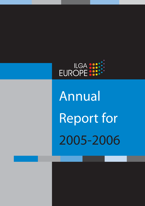

Annual Report for 2005-2006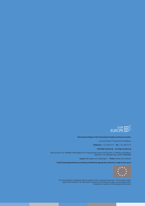

#### **The European Region of the International Lesbian and Gay Association**

rue de la Charité 17, Brussels B-1210 Belgium

**Telephone:** + 32 2 609 54 10 **Fax:** + 32 2 609 54 19

#### **info@ilga-europe.org www.ilga-europe.org**

Bank account # 310-1844088-10 ING Belgium ETT-Cinquantenaire Avenue de Tervueren 10 1040 Brussels Belgium IBAN BE41 3101 8440 8810 BAC (SWIFT): BBRUBEBB

**Layout:** Silja Pogule www.siljadesign.lv **Printer:** Sofadi www.sofadi.be

#### **© ILGA-Europe Reproduction permitted, provided that appropriate reference is made to the source**



This Annual Report is published with the support of the European Commission - The European Union against discrimination. The information contained in this publication does not necessarily reflect the position or opinion of the European Commission.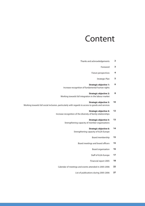# Content

Thanks and acknowledgements

**2**

| 3  | Foreword                                                                                                                          |
|----|-----------------------------------------------------------------------------------------------------------------------------------|
| 4  | Future perspectives                                                                                                               |
| 5  | <b>Strategic Plan</b>                                                                                                             |
| 6  | <b>Strategic objective 1:</b><br>Increase recognition of fundamental human rights                                                 |
| 8  | <b>Strategic objective 2:</b><br>Working towards full integration in the labour market                                            |
| 10 | <b>Strategic objective 3:</b><br>Working towards full social inclusion, particularly with regards to access to goods and services |
| 12 | <b>Strategic objective 4:</b><br>Increase recognition of the diversity of family relationships                                    |
| 13 | <b>Strategic objective 5:</b><br>Strengthening capacity of member organisations                                                   |
| 14 | <b>Strategic objective 6:</b><br>Strengthening capacity of ILGA-Europe                                                            |
| 15 | Board membership                                                                                                                  |
| 15 | Board meetings and board officers                                                                                                 |
| 16 | Board organisation                                                                                                                |
| 17 | Staff of ILGA-Europe                                                                                                              |
| 18 | Financial report 2005                                                                                                             |
| 22 | Calendar of meetings and events attended in 2005-2006                                                                             |
| 27 | List of publications during 2005-2006                                                                                             |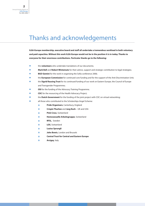### Thanks and acknowledgements

**ILGA-Europe membership, executive board and staff all undertake a tremendous workload in both voluntary and paid capacities. Without this work ILGA-Europe would not be in the position it is in today. Thanks to everyone for their enormous contributions. Particular thanks go to the following:**

- **•** the **volunteers** who undertake translations of our documents:
- **Mark Bell** and **Robert Wintemute** for their advice, support and strategic contribution to legal strategies;
- **BGO Gemini** for the work in organising the Sofia conference 2006;
- the **European Commission** for continued core funding and for the support of the Anti-Discrimination Unit;
- **the Sigrid Rausing Trust** for its continued funding of our work on Eastern Europe, the Council of Europe and Transgender Programmes;
- **OSI** for the funding of the Advocacy Training Programme;
- **COC** for the resourcing of the Health Advocacy Project;
- the **Dutch Government** for the funding of the joint project with COC on virtual networking;
- all those who contributed to the Scholarships Angel Scheme:
	- **\* Pride Organisers**, Canterbury, England
	- **\* Crispin Thurlow** and **Jurg Koch** UK and USA
	- **\* Pink Cross**, Switzerland
	- **\* Homosexuelle Arbeitsgruppe**, Switzerland
	- **\* RFSL**, Sweden
	- **\* LOS**, Switzerland
	- **\* Luzius Sprungli**
	- **John Bowis**, London and Brussels
	- **\* Central Trust for Central and Eastern Europe**
	- **\* Arcigay**, Italy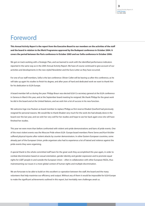### Foreword

**This** *Annual Activity Report* **is the report from the Executive Board to our members on the activities of the staff and the board in relation to the Work Programme approved by the Budapest conference in October 2004. It covers the period between the Paris conference in October 2005 and our Sofia conference in October 2006.**

We got on track working with a Strategic Plan, and we learned to work with the identified performance indicators reported in the same way as in the 2005 Annual Activity Report. We have of course continued to give account of our activities and developments in the new styled Newsletter and the Euro-Letter as they have occurred.

For one of our staff members, Sofia is the last conference: Olivier Collet will be leaving us after this conference, as he will take up again his studies to finish his degree, and after years of hard and dedicated work we want to thank him for his dedication to ILGA-Europe.

A board member left us during the year: Philipp Braun was elected ILGA Co-secretary general at the ILGA conference in Geneva in March this year, and at the September board meeting he resigned. We thank Philipp for the great work he did in the board and at the United Nations, and we wish him a lot of success in his new function.

We welcome Inge-Lise Paulsen as board member to replace Philipp as first reserve Elisabet Qvarford had previously resigned for personal reasons. We would like to thank Elisabet very much for the work she had already done in the board over the last year, and we wish her very well for her studies and hope to see her back again once she will have finished her studies.

This year we were more than before confronted with violent anti-pride demonstrations and bans of pride events. One of the most violent events was the Moscow Pride where ILGA- Europe board members Pierre Serne and Kurt Krickler suffered physical injuries after violent attacks by counter demonstrators. In other Eastern European countries, some already part of the European Union, pride organisers also had to experience a lot of hatred and violence against the pride events they were organising.

A special thank to the whole committed staff team for the great work they accomplished this year again, in order to combat discrimination based on sexual orientation, gender identity and gender expression and to promote equal rights for LGBT people in and outside the European Union – often in collaboration with other European NGOs, thus mainstreaming our issues in a more global context of human rights and multiple discrimination.

We are fortunate to be able to build on this excellent co-operation between the staff, the board and the many volunteers that help maximise our efficiency and output. Without any of them it would be impossible for ILGA-Europe to make the significant achievements outlined in this report, but inevitably new challenges await us.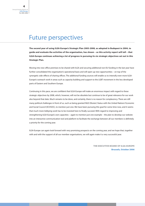

### Future perspectives

**The second year of using ILGA-Europe's Strategic Plan 2005-2008, as adopted in Budapest in 2004, to guide and evaluate the activities of the organisation, has shown – as this activity report will tell – that ILGA-Europe continues achieving a lot of progress in pursuing its six strategic objectives set out in this Strategic Plan.**

Moving into new office premises to be shared with ILGA and securing additional non-EU funding in the last year have further consolidated the organisation's operational basis and will open up new opportunities – on top of the synergetic side-effects of sharing offices. The additional funding sources will enable us to intensify even more ILGA-Europe's outreach work in areas such as capacity building and support to the LGBT movement in the less developed parts of Eastern and Southern Europe.

Continuing in this pace, we are confident that ILGA-Europe will make an enormous impact with regard to these strategic objectives by 2008, which, however, will not be obsolete but continue to be of great relevance for our work also beyond that date. Much remains to be done, and certainly, there is no reason for complacency. There are still many political challenges in front of us, such as being granted NGO (Roster) Status with the United Nations' Economic and Social Council (ECOSOC), to mention just one. We have been pursuing this goal for some time now, and it seems that much more lobbying work has to be invested here to finally succeed. With regard to improving and strengthening ILGA-Europe's own capacities – again to mention just one example – the plan to develop our website into an interactive communication tool and platform to facilitate the exchange between all our members is definitely a priority for the coming year.

ILGA-Europe can again look forward with very promising prospects on the coming year, and we hope that, together with and with the support of all our member organisations, we will again make it a very successful year.

> **THE EXECUTIVE BOARD OF ILGA-EUROPE Brussels, October 2006**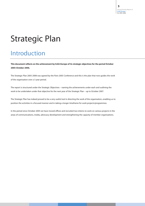# Strategic Plan

### Introduction

**This document reflects on the achievement by ILGA-Europe of its strategic objectives for the period October 2005-October 2006.**

The Strategic Plan 2005-2008 was agreed by the Paris 2005 Conference and this is the plan that now guides the work of the organisation over a 3 year period.

The report is structured under the Strategic Objectives – naming the achievements under each and outlining the work to be undertaken under that objective for the next year of the Strategic Plan – up to October 2007.

The Strategic Plan has indeed proved to be a very useful tool in directing the work of the organisation, enabling us to position the activities in a focused manner and in taking a longer timeframe for work projects/programmes.

In the period since October 2005 we have moved offices and recruited two interns to work on various projects in the areas of communications, media, advocacy development and strengthening the capacity of member organisations.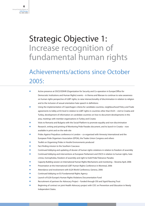# Strategic Objective 1: Increase recognition of fundamental human rights

# Achievements/actions since October 2005:

- Active presence at OSCE/ODIHR (Organization for Security and Co-operation in Europe/Office for Democratic Institutions and Human Rights) events – in Vienna and Warsaw to continue to raise awareness on human rights perspective of LGBT rights, to raise intersectionality of discrimination in relation to religion and to the inclusion of sexual orientation hate speech in definitions
- Using the implementation of Copenhagen criteria for candidate countries, neighbourhood Policy and Trade agreements to lobby at EU level in relation to LGBT rights in countries other than EU25 – visit to Croatia and Turkey, development of information on candidate countries on how to document developments in this area, meetings with member organisations in Turkey and Croatia
- Visits to Romania and Bulgaria with the Social Platform to promote equality and non-discrimination
- Research, writing and printing of Monitoring Pride Parades document, and its launch in Croatia now available in print and on the web-site
- Prides Against Prejudices conference in London co-organised with Amnesty International and the European Pride Organisers Association (EPOA), the Trades Union Congress and others
- Toolkit on Organising Prides in Hostile Environments produced
- Fact-finding mission to the Southern Caucasus
- Continued lobbying and updating of dossier of human rights violations in relation to freedom of assembly
- Continued lobbying and interventions at European Parliament and OSCE in relation to human rights, hate crimes, homophobia, freedom of assembly and right to hold Pride/Tolerance Parades
- Capacity Building session on International Human Rights Mechanisms and monitoring Slovenia April, 2006
- Presentation at the International LGBT Human Rights Conference in Montreal, 2006
- Attendance and involvement with ILGA World Conference, Geneva, 2006
- Continued lobbying on EU Fundamental Rights Agency
- Launch of ILGA-Europe's Human Rights Violations Documentation Fund
- Recruitment of partners for Advocacy Project funded through OSI and Sigrid Rausing Trust
- Beginning of contract on joint Health Advocacy project with COC on Prevention and Education in Newly Independent States.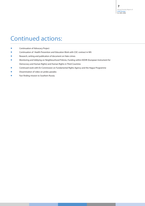- **Continuation of Advocacy Project**
- Continuation of Health Prevention and Education Work with COC contract in NIS
- Research, writing and publication of document on Hate crimes
- Monitoring and lobbying on Neighbourhood Policies, Funding within EIDHR (European Instrument for Democracy and Human Rights) and Human Rights in Third Countries
- Continued work with EU Commission on Fundamental Rights Agency and the Hague Programme
- Dissemination of video on prides parades
- Fact finding mission to Southern Russia.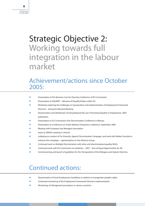# Strategic Objective 2: Working towards full integration in the labour market

### Achievement/actions since October 2005:

- Presentation at The Business Case for Diversity Conference of EU Commission
- Presentation to EQUINET Network of Equality Bodies within EU
- Workshop exploring the challenges to transposition and implementation of Employment Framework Directive – during EU Network Meeting
- Dissemination and distribution of Going Beyond the Law: Promoting Equality in Employment, 2005 publication
- Presentation to EU Commission Anti-Discrimination Conference in Warsaw
- Presentation to Conference on Small, Medium Enterprises conference, September 2006
- Meeting with European Gay Managers Association
- Input to GENIUS meeting in Utrecht
- Lobbying on content of For Diversity, Against Discrimination Campaign, and work with Media Consulta to enhance this campaign – representative on the Advisory Group
- Continued work on Multiple Discrimination with other anti-discrimination/equality NGOs
- Continued work with EU Commission on initiatives 2007 Year of Equal Opportunities for All
- Commissioning and launch of guidelines for the Transposition of the Refugees and Asylum Directive.

- Dissemination of Good Employment Guidelines in relation to transgender people's rights
- Continued monitoring of the Employment Framework Directive implementation
- Monitoring of infringement procedures in various countries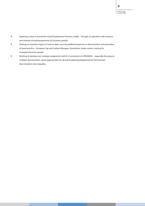- Exploring routes to extend the Good Employment Practices model through co-operation with business and training schools/programmes for business people
- Seeking to maximise impact of work to date, sourcing additional partners in dissemination and promotion of good practice – European Gay and Lesbian Managers Association, trades unions, training for managers/business people
- Working to develop next strategic programme with EU Commission on PROGRESS especially focusing on multiple discrimination, equal opportunities for all and broadening/deepening the link between discrimination and inequality.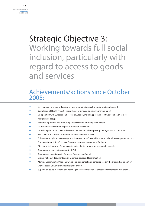# Strategic Objective 3:

Working towards full social inclusion, particularly with regard to access to goods and services

### Achievements/actions since October 2005:

- Development of shadow directive on anti-discrimination in all areas beyond employment
- Completion of Health Project researching, writing, editing and launching report
- Co-operation with European Public Health Alliance, including potential joint work on health care for marginalised groups
- Researching, writing and producing Social Exclusion of Young LGBT People
- Launch of Social Exclusion Report in European Parliament
- Launch of pilot project to include LGBT issues in national anti-poverty strategies in 5 EU countries
- Participation at conference on social inclusion Antwerp 2006
- Following through on relationships with European Anti-Poverty Network, social exclusion organisations and European Commission/European Presidency conferences on Social Exclusion
- Meeting with European Commission to further lobby the case for transgender equality
- On-going working relationship with IGLYO
- On-going co-operation with European Transgender Council
- Dissemination of documents on transgender issues and legal situation
- Multiple Discrimination Working Group ongoing meetings, joint proposals in the area and co-operation with Leicester University in potential joint project
- Support on issues in relation to Copenhagen criteria in relation to accession for member organisations.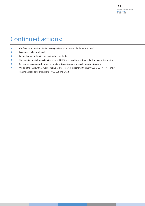- Conference on multiple discrimination provisionally scheduled for September 2007
- Fact-sheets to be developed
- Follow through on health strategy for the organisation
- Continuation of pilot project on inclusion of LGBT issues in national anti-poverty strategies in 5 countries
- Seeking co-operation with others on multiple discrimination and equal opportunities work
- Utilising the shadow framework directive as a tool to work together with other NGOs at EU level in terms of enhancing legislative protections – AGE, EDF and ENAR.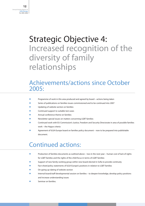# Strategic Objective 4: Increased recognition of the diversity of family relationships

### Achievements/actions since October 2005:

- Programme of work in this area produced and agreed by board actions being taken
- Series of publications on families issues commissioned and to be continued into 2007
- Updating of website section on families
- Continued support to suitable test cases
- Annual conference theme on families
- Newsletter special issues on matters concerning LGBT families
- Continued work with EU Commission's Justice, Freedom and Security Directorate in area of possible families work – the Hague criteria
- Agreement of ILGA-Europe board on families policy document now to be prepared into publishable document.

- Production of families documents as outlined above two in the next year human cost of lack of rights for LGBT families and the rights of the child focus in terms of LGBT families
- Support of new family working group within new board elected in Sofia to provide continuity
- Fact-sheet/policy statements of ILGA-Europe's positions in relation to LGBT families
- On-going up-dating of website section
- Internal board/staff developmental session on families to deepen knowledge, develop policy positions and increase understanding issues
- Seminar on families.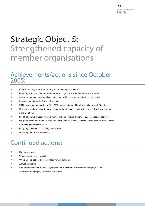# Strategic Object 5: Strengthened capacity of member organisations

### Achievements/actions since October 2005:

- Capacity building seminar on funding and human rights, Slovenia
- On-going support to member organisations through Euro-Letter, Newsletter and website
- Attendance at many events and activities organised by member organisations (see below)
- Resource material available through website
- EU Network meeting focusing on Year 2007, implementation of Employment Framework Directive
- Development of projects with partner organisations in area of social inclusion, health, advocacy, human rights violations
- Skills building workshops on media, monitoring and building diversity in our organisations at Sofia
- On-going development of data-base and website project with COC Netherlands to facilitate greater virtual networking on thematic issues
- On-going work on data base project with ILGA
- Up-dating of information on website.

- Data base projects
- Various partner-based projects
- On-going publications and information flow and sharing
- Annual conference
- Programmes activities in Advocacy, Human Rights Violations documentation Project, COC NIS advocacy/lobby project, Social Inclusion Project.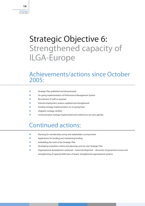# Strategic Objective 6: Strengthened capacity of ILGA-Europe

### Achievements/actions since October 2005:

- Strategic Plan published and disseminated
- On-going implementation of Performance Management System
- Recruitment of staff as required
- Internal employment systems updated and strengthened
- Funding strategy implementation on on-going basis
- Litigation strategy clarified
- Communication strategy implemented and media focus set onto agenda.

- **•** Planning for membership survey and stakeholders survey/review
- Applications for funding and maintaining funding
- Embedding the work of the Strategic Plan
- Developing evaluation criteria and planning cycle for next Strategic Plan
- Organisational development continued board development discussion of governance issues and strengthening of capacity/skills base of board, strengthened organisational systems.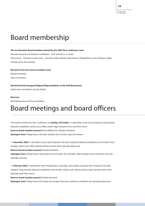## Board membership

#### **The ten Executive Board members elected by the 2005 Paris conference were:**

Riccardo Gottardi and Deborah Lambillotte – both elected as co-chairs.

Pierre Serne – Treasurer, Jackie Lewis – Secretary; Miha Lobnik, Vanja Hamzic, Philipp Braun, Vera Cimpeanu, Maya Salvado Ferrer, Kurt Krickler

#### **Elected as first two reserve members were:**

Elisabet Qvarford, Inge-Lise Paulsen

#### **Elected to be the European Regional Representatives on the ILGA Board were:**

Jackie Lewis and Janfrans van der Eerden

#### **Reserves:**

Ruth Baldacchino and Yves de Matteis.

### Board meetings and board officers

The board met after the Paris conference on **Sunday, 30 October**. In attendance were: Vera Cimpeanu, Vanja Hamzic, Deborah Lambillotte, Jackie Lewis, Miha Lobnik, Maya Salvado Ferrer and Pierre Serne **Reserve board members present:** Ruth Baldacchino, Elisabet Qvarford **Apologies from:** Philipp Braun, Riccardo Gottardi, Kurt Krickler, Inge-Lise Paulsen

**> December 2005.** In attendance were: Vera Cimpeanu, Riccardo Gottardi, Deborah Lambillotte, Kurt Krickler, (from Sunday) Jackie Lewis, Miha Lobnik and Pierre Serne (from Saturday afternoon)

#### **Reserve board members present:** Elisabet Qvarford

**Apologies from:** Philipp Braun, Vanja Hamzic, Kurt Krickler (for Saturday), Mala Salvado Ferrer, and Pierre Serne for Saturday morning

**> February 2006.** In attendance were: Philipp Braun (Saturday, and Sunday morning), Vera Cimpeanu, Riccardo Gottardi, Vanja Hamzic, Deborah Lambillotte, Kurt Krickler, Jackie Lewis, Moha Lobnick, Maya Salvado Ferrer (from Saturday) and Pierre Serne

**Reserve board member present:** Elisabet Qvarford

**Apologies from:** Philipp Braun (for Friday and Sunday afternoon), Deborah Lambillotte (for Saturday afternoon),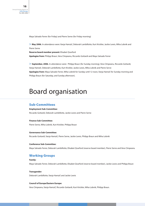Maya Salvado Ferrer (for Friday) and Pierre Serne (for Friday morning)

**> May 2006.** In attendance were: Vanja Hamzic, Deborah Lambillotte, Kurt Krickler, Jackie Lewis, Miha Lobnik and Pierre Serne

**Reserve board member present:** Elisabet Qvarford **Apologies from:** Philipp Braun, Vera Cimpeanu, Riccardo Gottardi and Maya Salvado Ferrer

**> September, 2006.** In attendance were: Philipp Braun (for Sunday morning), Vera Cimpeanu, Riccardo Gottardi, Vanja Hamzic, Deborah Lambillotte, Kurt Krickler, Jackie Lewis, Miha Lobnik and Pierre Serve

**Apologies from:** Maya Salvado Ferrer, Miha Lobnik for Sunday until 12 noon, Vanja Hamzic for Sunday morning and Philipp Braun (for Saturday, and Sunday afternoon).

### Board organisation

### **Sub-Committees**

#### **Employment Sub-Committee:**

Riccardo Gottardi, Deborah Lambillotte, Jackie Lewis and Pierre Serne

#### **Finance Sub-Committee:**

Pierre Serne, Miha Lobnik, Kurt Krickler, Philipp Braun

#### **Governance Sub-Committee:**

Riccardo Gottardi, Vanja Hamzic, Pierre Serne, Jackie Lewis, Philipp Braun and Miha Lobnik

#### **Conference Sub-Committee:**

Maya Salvado Ferrer, Deborah Lambillotte, Elisabet Qvarford (reserve board member), Pierre Serne and Vera Cimpeanu

#### **Working Groups**

#### **Family:**

Maya Salvado Ferrer, Deborah Lambillotte, Elisabet Qvarford (reserve board member), Jackie Lewis and Philipp Braun

#### **Transgender:**

Deborah Lambillotte, Vanja Hamzič and Jackie Lewis

#### **Council of Europe/Eastern Europe:**

Vera Cîmpeanu, Vanja Hamzič, Riccardo Gottardi, Kurt Krickler, Miha Lobnik, Philipp Braun.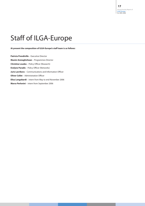# Staff of ILGA-Europe

#### **At present the composition of ILGA-Europe's staff team is as follows:**

**Patricia Prendiville** – Executive Director **Maxim Anmeghichean** – Programmes Director **Christine Loudes** – Policy Officer (Research) **Evelyne Paradis** – Policy Officer (Networks) **Juris Lavrikovs** – Communications and Information Officer **Oliver Collet** – Administration Officer **Elisa Longobardi** – intern from May to end November 2006 **Marco Perlonini** – intern from September 2006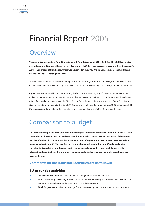# Financial Report 2005

### **Overview**

**The accounts presented are for a 16 month period, from 1st January 2005 to 30th April 2006. This extended accounting period is a one-off measure needed to move ILGA-Europe's accounting year-end from December to April. The purpose of this change, which was approved at the 2005 Annual Conference, is to simplify ILGA-Europe's financial reporting and audits.**

The extended accounting period makes comparison with previous years difficult. However, the underlying trend in income and expenditure levels was again upwards and shows a real continuity and stability in our financial situation.

Expenditure was balanced by income, reflecting the fact that the great majority of ILGA-Europe's expenditure is derived from grants awarded for specific purposes. European Community funding contributed approximately two thirds of the total grant income, with the Sigrid Rausing Trust, the Open Society Institute, the City of Paris, IBM, the Government of the Netherlands, Stichting ILGA-Europe and certain member organisations (COC (Netherlands), LLH (Norway), Arcigay (Italy), LOS (Switzerland), David and Jonathan (France), CIG (Italy)) providing the rest.

### Comparison to budget

**The indicative budget for 2005 approved at the Budapest conference proposed expenditure of €855,277 for 12 months. In the event, total expenditure over the 16 months (1 065 319 euros) was 125% of this amount, and therefore broadly consistent with the budgeted level of expenditure. Even though, there was a slight under spending (about 25 000 euros) of the EU grant budgeted, mainly due to staff and travel under spending that couldn't be totally compensated by overspending on other items (mainly services like information dissemination). It is one of our main goal to diminish even more this under spending of our budgeted grant.**

### **Comments on the individual activities are as follows:**

#### **EU co-funded activities**

- Total **Secretariat Costs** are consistent with the budgeted levels of expenditure
- Within the heading **Governing Bodies**, the cost of the board meetings has increased, with a larger board since the Paris conference, and expenditure on board development.
- **Work Programme Activities** show a significant increase compared to the levels of expenditure in the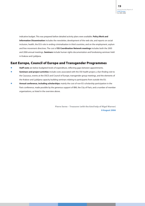indicative budget. This was prepared before detailed activity plans were available. **Policy Work and Information Dissemination** includes the newsletter, development of the web site, and reports on social inclusion, health, the EU's role in ending criminalisation in third countries, and on the employment, asylum and free movement directives. The cost of **EU Coordination Network meetings** includes both the 2005 and 2006 annual meetings. **Seminars** include human rights documentation and fundraising seminars held in Krakow and Ljubljana.

#### **East Europe, Council of Europe and Transgender Programmes**

- **Staff costs** are below budgeted levels of expenditure, reflecting gaps between appointments.
- **Seminars and project activities** include costs associated with the OSI health project, a fact-finding visit to the Caucasus, events at the OSCE and Council of Europe, transgender group meetings, and the elements of the Krakow and Ljubljana capacity building seminars relating to participants from outside the EU.
- **Annual conference, including scholarships:** mainly the cost of non-EU scholarship participation in the Paris conference, made possible by the generous support of IBM, the City of Paris, and a number of member organisations, as listed in the overview above.

**Pierre Serne – Treasurer (with the kind help of Nigel Warner) 8 August 2006**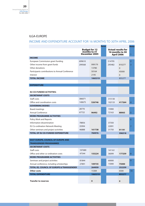### ILGA-EUROPE

### INCOME AND EXPENDITURE ACCOUNT FOR 16 MONTHS TO 30TH APRIL 2006

|                                                       |        |           | <b>Euros</b> |                                                                   |          | <b>Notes</b>    |
|-------------------------------------------------------|--------|-----------|--------------|-------------------------------------------------------------------|----------|-----------------|
| <b>Budget for 12</b><br>months to 31<br>December 2005 |        |           |              | <b>Actual results for</b><br>16 months to 30<br><b>April 2006</b> |          | 1               |
| <b>INCOME</b>                                         |        |           |              |                                                                   |          |                 |
| European Commission grant funding                     | 699610 |           |              | 514795                                                            |          | $\overline{2}$  |
| Other income from grant funds                         | 299568 | 999179    |              | 295482                                                            | 810277   | 3               |
| Other donations                                       |        | 13780     |              |                                                                   | $\Omega$ |                 |
| Participants contributions to Annual Conference       |        | 50164     |              |                                                                   | 45000    |                 |
| Interest                                              |        | 2195      |              |                                                                   | $\Omega$ |                 |
| <b>TOTAL INCOME</b>                                   |        | 1065319   |              |                                                                   | 855277   |                 |
|                                                       |        |           |              |                                                                   |          |                 |
| <b>EXPENDITURE</b>                                    |        |           |              |                                                                   |          |                 |
|                                                       |        |           |              |                                                                   |          |                 |
| <b>EU CO-FUNDED ACTIVITIES:</b>                       |        |           |              |                                                                   |          |                 |
| <b>SECRETARIAT COSTS</b>                              |        |           |              |                                                                   |          |                 |
| Staff costs                                           | 386071 |           |              | 315130                                                            |          |                 |
| Office and coordination costs                         | 140675 | 526746    |              | 102133                                                            | 417264   | $\overline{4}$  |
| <b>GOVERNING BODIES</b>                               |        |           |              |                                                                   |          |                 |
| <b>Board meetings</b>                                 | 28770  |           |              | 15900                                                             |          |                 |
| <b>Annual Conference</b>                              | 67722  | 96492     |              | 72163                                                             | 88063    | 5               |
| <b>WORK PROGRAMME ACTIVITIES</b>                      |        |           |              |                                                                   |          |                 |
| Policy Work and Reports                               |        |           |              |                                                                   |          | 6               |
| Information dissemination                             | 78856  |           |              | 37350                                                             |          |                 |
| EU Co-ordination Network Meeting                      | 35994  |           |              | 22091                                                             |          | $\overline{7}$  |
| Other seminars and project activities                 | 46888  | 161738    |              | 31750                                                             | 91191    |                 |
| <b>TOTAL OF EU CO-FUNDED EXPENDITURE</b>              |        | 784976    |              |                                                                   | 596518   |                 |
|                                                       |        |           |              |                                                                   |          |                 |
| <b>EAST EUROPE, COUNCIL OF EUROPE AND</b>             |        |           |              |                                                                   |          |                 |
| <b>TRANSGENDER PROGRAMMES</b>                         |        |           |              |                                                                   |          |                 |
| <b>SECRETARIAT COSTS</b>                              |        |           |              |                                                                   |          |                 |
| Staff costs                                           | 107680 |           |              | 141161                                                            |          |                 |
| Office and other co-ordination costs                  | 47544  | 155224    |              | 36099                                                             | 177259   | 8               |
| <b>WORK PROGRAMME ACTIVITIES</b>                      |        |           |              |                                                                   |          |                 |
| Seminars and project activities                       | 81844  |           |              | 60000                                                             |          | 9               |
| Annual conference, including scholarships             | 27891  | 109735    |              | 15000                                                             | 75000    |                 |
| <b>TOTAL EE, COUNCIL OF EUROPE &amp; TRANSGENDER</b>  |        | 264959    |              |                                                                   | 252259   |                 |
| <b>Other costs</b>                                    |        | 15384     |              |                                                                   | 6500     | 10 <sup>°</sup> |
| <b>TOTAL EXPENDITURE</b>                              |        | 1065319   |              |                                                                   | 855277   |                 |
|                                                       |        |           |              |                                                                   |          |                 |
| <b>Transfer to reserves</b>                           |        | $\pmb{0}$ |              |                                                                   | $\bf{0}$ |                 |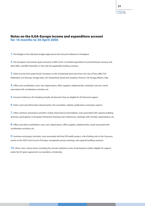### **Notes on the ILGA-Europe income and expenditure account for 16 months to 30 April 2006**

**1.** The Budget is the indicative budget approved at the Annual Conference in Budapest.

**2.** The European Commission grant amounts to 89% of EU co-funded expenditure incurred between January and April 2005, and 88% thereafter, in line with the applicable funding contracts.

**3.** Other income from grant funds. Donations to the scholarship fund were from: the City of Paris, IBM, COC Nederland, LLH Norway, Arcigay Italy, LOS Switzerland, David and Jonathon (France), CIG Arcigay Milano, Italy.

**4.** Office and coordination costs: rent, depreciation, office supplies, telephone/fax, evaluation services, travel associated with coordination activities, etc.

**5.** Annual Conference: this heading includes all elements that are eligible for EU financial support.

**6.** Policy work and information dissemination: the newsletter, website, publications and policy reports.

**7.** Other seminars and project activities: mainly travel and accommodation costs associated with capacity building seminars, participation in European Parliament hearings and conferences, meetings with member organisations, etc.

**8.** Office and other coordination costs: rent, depreciation, office supplies, telephone/fax, travel associated with coordination activities, etc.

**9.** Seminars and project activities: costs associated with the OSI health project, a fact-finding visit to the Caucasus, events at the OSCE and Council of Europe, transgender group meetings, and capacity building seminars.

**10.** Other costs: various items, including the annual conference costs of participants neither eligible for support under the EU grant agreement nor awarded a scholarship.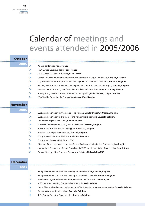# Calendar of meetings and events attended in 2005/2006

| October         |   |                                                                                                     |
|-----------------|---|-----------------------------------------------------------------------------------------------------|
| 2005            |   | Annual conference, Paris, France                                                                    |
|                 | ⋗ | ILGA-Europe Executive Board, Paris, France                                                          |
|                 | ⋗ | ILGA-Europe EU Network meeting, Paris, France                                                       |
|                 | > | Fourth European Roundtable on poverty and social exclusion (UK Presidency), Glasgow, Scotland       |
|                 | > | Legal Seminar of the European Network of Legal Experts in non-discrimination, Brussels, Belgium     |
|                 | ⋗ | Hearing by the European Network of Independent Experts on Fundamental Rights, Brussels, Belgium     |
|                 | > | Seminar to mark the entry into force of Protocol No. 12, Council of Europe, Strasbourg, France      |
|                 | ⋗ | Transgressing Gender Conference: Two is not enough for gender (e)quality, Zagreb, Croatia           |
|                 | > | "Our World - Extending the Borders", Conference, Kiev, Ukraine                                      |
|                 |   |                                                                                                     |
| <b>November</b> |   |                                                                                                     |
| 2005            | > | European Commission conference on "The Business Case for Diversity", Brussels, Belgium              |
|                 | > | European Commission bi-annual meeting with umbrella networks, Brussels, Belgium                     |
|                 | ⋗ | Conference organised by EUMC, Vienna, Austria                                                       |
|                 | > | Eurochild Conference on socially excluded children, Brussels, Belgium                               |
|                 | ⋗ | Social Platform Social Policy working group, Brussels, Belgium                                      |
|                 | ⋗ | Seminar on multiple discrimination, Brussels, Belgium                                               |
|                 | > | Study trip with the Social Platform, Bucharest, Romania                                             |
|                 | ⋗ | Study trip to Turkey with ILGA and COC                                                              |
|                 | ⋗ | Meeting of the preparatory committee for the "Prides Against Prejudice" Conference, London, UK      |
|                 | ⋗ | International Dialogue on Gender, Sexuality, HIV/AIDS and Human Rights: Focus on Asia, Seoul, Korea |
|                 | > | Annual Meeting of the American Academy of Religion, Philadelphia, USA                               |
|                 |   |                                                                                                     |
| <b>December</b> |   |                                                                                                     |
| 2005            |   |                                                                                                     |
|                 |   | European Commission bi-annual meeting on social inclusion, Brussels, Belgium                        |
|                 | ⋗ | European Commission bi-annual meeting with umbrella networks, Brussels, Belgium                     |
|                 | ⋗ | Conference organised by EU Presidency on freedom of expression, London, UK                          |
|                 | ⋗ | AGE Intergroup meeting, European Parliament, Brussels, Belgium                                      |
|                 | ⋗ | Social Platform Fundamental Rights and Anti-Discrimination working group meeting, Brussels, Belgium |
|                 | ⋗ | Steering Group of Social Platform, Brussels, Belgium                                                |
|                 | ⋗ | ILGA-Europe Executive Board meeting, Brussels, Belgium                                              |
|                 |   |                                                                                                     |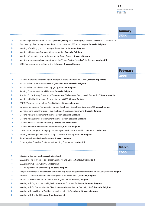### **January**

**February**

**2006**

**March**

**2006**

#### **2006**

- **>** Fact-finding mission to South Caucasus (**Armenia, Georgia** and **Azerbaijan**) in cooperation with COC Netherlands
- **>** First meeting of advisory group of the social exclusion of LGBT youth project, **Brussels, Belgium**
- **>** Meeting of working group on multiple discrimination, **Brussels, Belgium**
- **>** Meeting with Austrian Permanent Representation, **Brussels, Belgium**
- **>** Meeting of rapporteurs on the Fundamental Rights Agency, **Brussels, Belgium**
- **>** Meeting of the preparatory committee for the "Prides Against Prejudice" Conference, **London, UK**
- **>** OSCE Remembrance of Victims of the Holocaust, **Brussels, Belgium**

**>** Meeting of the Gay & Lesbian Rights Intergroup of the European Parliament, **Strasbourg, France**

- **>** Social Platform seminar on services of general interest, **Brussels, Belgium**
- **>** Social Platform Social Policy working group, **Brussels, Belgium**
- **>** Steering Committee of Social Platform, **Brussels, Belgium**
- **>** Austrian EU Presidency Conference "Demographic Challenges Family needs Partnership", **Vienna, Austria**
- **>** Meeting with Irish Permanent Representation to OSCE, **Vienna, Austria**
- **>** EQUINET conference on role of Equality Bodies, **Brussels, Belgium**
- **>** European Symposium "Combined in Europe. Together in North Rhine-Westphalia", **Brussels, Belgium**
- **>** Mainstreaming Social Inclusion launch of report, European Parliament, **Brussels, Belgium**
- **>** Meeting with Dutch Permanent Representation, **Brussels, Belgium**
- **>** Meeting with Luxembourg Permanent Representation, **Brussels, Belgium**
- **>** Meeting with GENIUS on networking, **Utrecht, The Netherlands**
- **>** Meeting with British Permanent Representation, **Brussels, Belgium**
- **>** Trades Union Congress "Stamping Out Homophobia all over the world" conference, **London, UK**
- **>** Meeting with European Women's Lobby on Gender Roadmap, **Brussels, Belgium**
- **>** ILGA-Europe Executive Board meeting, **Brussels, Belgium**
- **>** Prides Against Prejudice Conference Organising Committee, **London, UK**

|--|--|

- **>** ILGA World Conference, **Geneva, Switzerland**
- **>** ILGA World Pre-conference on Religion, Sexuality and Gender, **Geneva, Switzerland**
- **>** ILGA Executive Board, **Geneva, Switzerland**
- **>** ILGA-Europe EU Network meeting, **Brussels, Belgium**
- **>** European Commission Conference on the Community Action Programme to combat Social Exclusion, **Brussels, Belgium**
- **>** European Commission bi-annual meeting with umbrella networks, **Brussels, Belgium**
- **>** Informal NGO consultation on mental health green paper, **Brussels, Belgium**
- **>** Meeting with Gay and Lesbian Rights Intergroup of European Parliament, **Brussels, Belgium**
- **>** Meeting with EU Commission For Diversity Against Discrimination Campaign Staff , **Brussels, Belgium**
- **>** Meeting with new Head of Anti-Discrimination Unit, EU Commission, **Brussels, Belgium**
- **>** Meeting with The Sigrid Rausing Trust, **London, UK**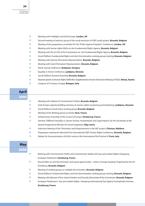- **>** Meeting with InteRights and ILGA-Europe, **London, UK**
- **>** Second meeting of advisory group of the social exclusion of LGBT youth project, **Brussels, Belgium**
- **>** Meeting of the preparatory committee for the "Prides Against Prejudice" Conference, **London, UK**
- **>** Meeting with human rights NGOs on the Fundamental Rights Agency, **Brussels, Belgium**
- **>** Meeting with the JLS DG of the Commission on the Fundamental Rights Agency, **Brussels, Belgium**
- **>** Social Platform Fundamental Rights and Anti-Discrimination working group meeting, **Brussels, Belgium**
- **>** Meeting with German Permanent Representation, **Brussels, Belgium**
- **>** Meeting with Czech Permanent Representation, **Brussels, Belgium**
- **>** EGLSF annual conference, **Budapest, Hungary**
- **>** Equality in Action Conference, **Ljubljana, Slovenia**
- **>** Social Platform General Assembly, **Brussels, Belgium**
- **>** Keynote speech at Human Rights Defenders Supplementary Human Dimension Meeting of OSCE, **Vienna, Austria**
- **>** Congress of il Cassero, Arcigay, **Bologna, Italy**

### **April 2006 >** Meeting with Cabinet of Commissioner Frattini, **Brussels, Belgium >** ILGA-Europe capacity-building seminars on human rights monitoring and fundraising, **Ljubljana, Slovenia >** Social Platform Social Policy working group, **Brussels, Belgium >** Meeting of the Working group on family, **Paris, France >** Parliamentary Assembly of the Council of Europe, **Strasbourg, France >** Seminar "Different Sexuality in Latvian Society: Humanitarian and Legal Aspects" by the Secretariat of the Special Assignments Minister for Social Integration, **Riga Latvia**

- **>** Induction Meeting of the "Prevention and Empowerment in the NIS" project, **Chisinau, Moldova**
- **>** Preparatory meeting for Montreal First International LGBT Human Rights Conference, **Brussels, Belgium**
- **>** Debate for the presentation of ILGA's movie at the International Film Festival of **Turin, Italy**

### **>** Meeting with Commissioner Frattini and Commissioner Spidla with Gay and Lesbian Rights Intergroup, European Parliament, **Strasbourg, France >** Round Table on anti-discrimination and equal opportunities - where is Europe heading? Organised by the EU Presidency, **Brussels, Belgium >** Meeting of working group on multiple discrimination, **Brussels, Belgium >** Social Platform Fundamental Rights and Anti-Discrimination working group meeting, **Brussels, Belgium May 2006**

- **>** Meeting with directors of the Justice Freedom and Security Directorate of the Commission, **Brussels, Belgium**
- **>** European Parliament's Gay and Lesbian Rights Intergroup International Day Against homophobia Seminar, **Strasbourg, France**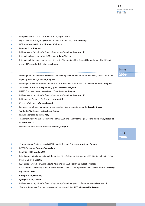| ⋗ | European Forum of LGBT Christian Groups, Riga, Latvia                                                   |             |  |
|---|---------------------------------------------------------------------------------------------------------|-------------|--|
| ⋗ | Legal seminar "The fight against discrimination in practice", Trier, Germany                            |             |  |
| ⋗ | Fifth Moldovan LGBT Pride, Chisinau, Moldova                                                            |             |  |
| > | <b>Brussels Pride, Belgium</b>                                                                          |             |  |
| ⋗ | Prides Against Prejudice Conference Organising Committee, London, UK                                    |             |  |
| ⋗ | International Anti-Homophobia Meeting, Ankara, Turkey                                                   |             |  |
| ⋗ | International Conference on the occasion of the "International Day Against Homophobia - IDAHO" and      |             |  |
|   | planned Moscow Pride 06, Moscow, Russia                                                                 |             |  |
|   |                                                                                                         | <b>June</b> |  |
| ⋗ | Meeting with Directorate and Heads of Unit of European Commission on Employment, Social Affairs and     | 2006        |  |
|   | Equal Opportunities, Brussels, Belgium                                                                  |             |  |
| ⋗ | Meeting of the Advisory Group on the European Year 2007 - European Commission, Brussels, Belgium        |             |  |
| > | Social Platform Social Policy working group, Brussels, Belgium                                          |             |  |
| > | ENAR's European Coordination Round Table, Brussels, Belgium                                             |             |  |
| ⋗ | Prides Against Prejudice Conference Organising Committee, London, UK                                    |             |  |
| ⋗ | Pride Against Prejudice Conference, London, UK                                                          |             |  |
| > | March for Tolerance, Warsaw, Poland                                                                     |             |  |
| ⋗ | Launch of handbook on monitoring pride and training on monitoring pride, Zagreb, Croatia                |             |  |
| ⋗ | Gay Pride (Marche des Fiertés), Paris, France                                                           |             |  |
| ⋗ | Italian national Pride, Turin, Italy                                                                    |             |  |
| ⋗ | The Inner Circle's Annual International Retreat 2006 and the MAI Strategic Meeting, Cape Town, Republic |             |  |
|   | of South Africa                                                                                         |             |  |
| ⋗ | Demonstration at Russian Embassy, Brussels, Belgium                                                     |             |  |
|   |                                                                                                         | <b>July</b> |  |
|   |                                                                                                         | 2006        |  |
| > | 1st International Conference on LGBT Human Rights and Outgames, Montreal, Canada                        |             |  |
| > | ECOSOC meeting, Geneva, Switzerland                                                                     |             |  |
| > | EuroPride 2006, London, UK                                                                              |             |  |

- **>** ILGA-Europe Induction meeting of the project "Take Action! United Against LGBT Discrimination in Eastern Europe", **Zagreb, Croatia**
- **>** ILGA-Europe workshop "Using Data to Advocate for LGBT Health", **Budapest, Hungary**
- **>** Receiving the "Zivilcourage" Award of the Berlin CSD for ILGA-Europe at the Pride Parade, **Berlin, Germany**
- **> Riga** Pride, **Latvia**
- **> Cologne** Pride, **Germany**
- **> Ljubljana** Pride, **Slovenia**
- **>** Prides Against Prejudice Conference Organising Committee, post conference meeting **London, UK**
- **>** "Euromediterranean Summer University of Homosexualities" (UEEH) in **Marseille, France**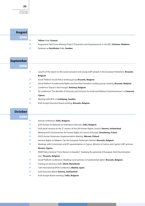| <b>August</b> |                                                                                                 |
|---------------|-------------------------------------------------------------------------------------------------|
| 2006          |                                                                                                 |
|               | Tallinn Pride, Estonia                                                                          |
|               | Programme Task Force Meeting Project "Prevention and Empowerment in the NIS", Chisinau, Moldova |
|               | Seminars at Stockholm Pride, Sweden                                                             |

### **September 2006**

**Octo** 

|       | > | Launch of the report on the social exclusion and young LGBT people in the European Parliament, Brussels,   |
|-------|---|------------------------------------------------------------------------------------------------------------|
|       |   | <b>Belgium</b>                                                                                             |
|       | ⋗ | Social Platform Social Policy working group, Brussels, Belgium                                             |
|       | ⋗ | Social Platform Fundamental Rights and Anti-Discrimination working group meeting, Brussels, Belgium        |
|       | ⋗ | Conference "Equal is Not Enough", Antwerp, Belgium                                                         |
|       | > | EU conference "The Benefits of Diversity and Inclusion for Small and Medium-Sized Businesses" in Limassol, |
|       |   | Cyprus                                                                                                     |
|       | > | Meeting with RFSL in Linköping, Sweden                                                                     |
|       | > | ILGA-Europe Executive Board meeting, Brussels, Belgium                                                     |
|       |   |                                                                                                            |
| :ober |   |                                                                                                            |
| 2006  |   |                                                                                                            |
|       | > | Annual conference, Sofia, Bulgaria                                                                         |
|       | > | ILGA-Europe EU National Co-Ordination Network, Sofia, Bulgaria                                             |
|       | > | ILGA panel sessions at the 2 <sup>nd</sup> session of the UN Human Rights Council, Geneva, Switzerland     |
|       | ⋗ | Meeting with Commissioner for Human Rights of Council of Europe, Strasbourg, France                        |
|       | ⋗ | OSCE Human Dimension Implementation Meeting, Warsaw, Poland                                                |
|       | ⋗ | Seminar Rights or Religion: Can the European Parliament Deliver? Brussels, Belgium                         |
|       | > | Meetings with Commission and EP representatives in Cyprus, Ministry of Justice and Cypriot LGBT activists, |
|       |   | Nicosia, Cyprus                                                                                            |
|       | > | ENAR Policy Seminar "From Racism to Equality? Realising the potential of European Anti-Discrimination      |
|       |   | Law", Brussels, Belgium                                                                                    |
|       |   |                                                                                                            |

- **>** Social Platform Conference: "Building social policies on fundamental rights", **Brussels, Belgium**
- **>** Training on advocacy skills, **Ohrid, Macedonia**
- **>** 13th International EPOA Conference, **Madrid, Spain**
- **>** ILGA Executive Board, **Geneva, Switzerland**
- **>** ILGA-Europe Board meetings, **Sofia, Bulgaria**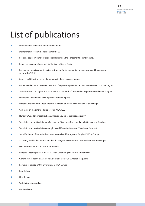# List of publications

- Memorandum to Austrian Presidency of the EU
- Memorandum to Finnish Presidency of the EU
- Positions paper on behalf of the Social Platform on the Fundamental Rights Agency
- Report on freedom of assembly to the Committee of Region
- Position on establishing a financing instrument for the promotion of democracy and human rights worldwide (EIDHR)
- Reports to EU institutions on the situation in the accession countries
- Recommendations in relation to freedom of expression presented at the EU conference on human rights
- Submission on LGBT rights in Europe to the EU Network of Independent Experts on Fundamental Rights
- Number of amendments to European Parliament reports
- Written Contribution to Green Paper consultation on a European mental health strategy
- Comment on the amended proposal for PROGRESS
- Handout: "Good Business Practices: what can you do to promote equality?"
- Translations of the Guidelines on Freedom of Movement Directive (French, German and Spanish)
- Translations of the Guidelines on Asylum and Migration Directive (French and German)
- Social Exclusion of Young Lesbian, Gay, Bisexual and Transgender People (LGBT) in Europe
- Accessing Health: the Context and the Challenges for LGBT People in Central and Eastern Europe
- Handbook on Observations of Pride Marches
- Prides against Prejudice: A Toolkit for Pride Organising in a Hostile Environment
- General leaflet about ILGA-Europe & translations into 30 European languages
- Postcard celebrating 10th anniversary of ILGA-Europe
- Euro-letters
- Newsletters
- Web-information updates
- Media releases